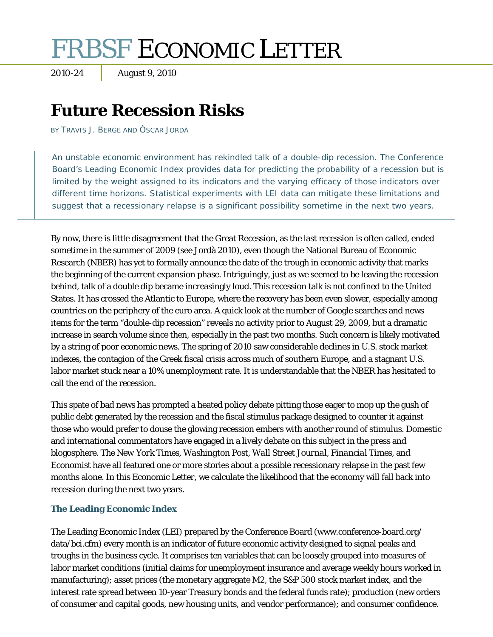# FRBSF ECONOMIC LETTER

2010-24 August 9, 2010

# **Future Recession Risks**

BY TRAVIS J. BERGE AND ÒSCAR JORDÀ

An unstable economic environment has rekindled talk of a double-dip recession. The Conference Board's Leading Economic Index provides data for predicting the probability of a recession but is limited by the weight assigned to its indicators and the varying efficacy of those indicators over different time horizons. Statistical experiments with LEI data can mitigate these limitations and suggest that a recessionary relapse is a significant possibility sometime in the next two years.

By now, there is little disagreement that the Great Recession, as the last recession is often called, ended sometime in the summer of 2009 (see Jordà 2010), even though the National Bureau of Economic Research (NBER) has yet to formally announce the date of the trough in economic activity that marks the beginning of the current expansion phase. Intriguingly, just as we seemed to be leaving the recession behind, talk of a double dip became increasingly loud. This recession talk is not confined to the United States. It has crossed the Atlantic to Europe, where the recovery has been even slower, especially among countries on the periphery of the euro area. A quick look at the number of Google searches and news items for the term "double-dip recession" reveals no activity prior to August 29, 2009, but a dramatic increase in search volume since then, especially in the past two months. Such concern is likely motivated by a string of poor economic news. The spring of 2010 saw considerable declines in U.S. stock market indexes, the contagion of the Greek fiscal crisis across much of southern Europe, and a stagnant U.S. labor market stuck near a 10% unemployment rate. It is understandable that the NBER has hesitated to call the end of the recession.

This spate of bad news has prompted a heated policy debate pitting those eager to mop up the gush of public debt generated by the recession and the fiscal stimulus package designed to counter it against those who would prefer to douse the glowing recession embers with another round of stimulus. Domestic and international commentators have engaged in a lively debate on this subject in the press and blogosphere. *The New York Times*, *Washington Post*, *Wall Street Journal*, *Financial Times*, and *Economist* have all featured one or more stories about a possible recessionary relapse in the past few months alone. In this *Economic Letter*, we calculate the likelihood that the economy will fall back into recession during the next two years.

## **The Leading Economic Index**

The Leading Economic Index (LEI) prepared by the Conference Board (www.conference-board.org/ data/bci.cfm) every month is an indicator of future economic activity designed to signal peaks and troughs in the business cycle. It comprises ten variables that can be loosely grouped into measures of labor market conditions (initial claims for unemployment insurance and average weekly hours worked in manufacturing); asset prices (the monetary aggregate M2, the S&P 500 stock market index, and the interest rate spread between 10-year Treasury bonds and the federal funds rate); production (new orders of consumer and capital goods, new housing units, and vendor performance); and consumer confidence.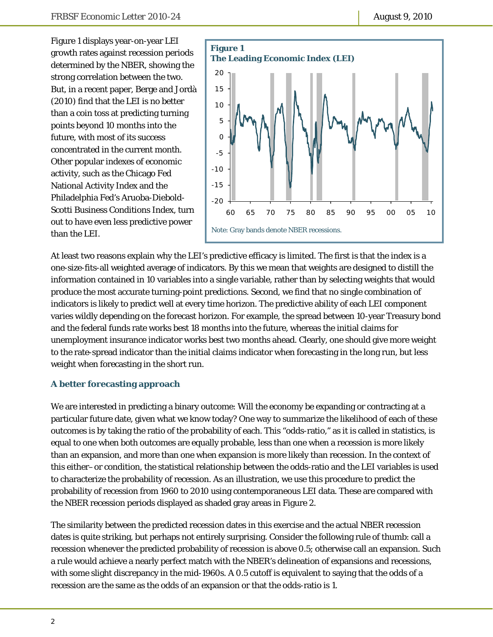Figure 1 displays year-on-year LEI growth rates against recession periods determined by the NBER, showing the strong correlation between the two. But, in a recent paper, Berge and Jordà (2010) find that the LEI is no better than a coin toss at predicting turning points beyond 10 months into the future, with most of its success concentrated in the current month. Other popular indexes of economic activity, such as the Chicago Fed National Activity Index and the Philadelphia Fed's Aruoba-Diebold-Scotti Business Conditions Index, turn out to have even less predictive power than the LEI.



At least two reasons explain why the LEI's predictive efficacy is limited. The first is that the index is a one-size-fits-all weighted average of indicators. By this we mean that weights are designed to distill the information contained in 10 variables into a single variable, rather than by selecting weights that would produce the most accurate turning-point predictions. Second, we find that no single combination of indicators is likely to predict well at every time horizon. The predictive ability of each LEI component varies wildly depending on the forecast horizon. For example, the spread between 10-year Treasury bond and the federal funds rate works best 18 months into the future, whereas the initial claims for unemployment insurance indicator works best two months ahead. Clearly, one should give more weight to the rate-spread indicator than the initial claims indicator when forecasting in the long run, but less weight when forecasting in the short run.

## **A better forecasting approach**

We are interested in predicting a binary outcome: Will the economy be expanding or contracting at a particular future date, given what we know today? One way to summarize the likelihood of each of these outcomes is by taking the ratio of the probability of each. This "odds-ratio," as it is called in statistics, is equal to one when both outcomes are equally probable, less than one when a recession is more likely than an expansion, and more than one when expansion is more likely than recession. In the context of this either–or condition, the statistical relationship between the odds-ratio and the LEI variables is used to characterize the probability of recession. As an illustration, we use this procedure to predict the probability of recession from 1960 to 2010 using contemporaneous LEI data. These are compared with the NBER recession periods displayed as shaded gray areas in Figure 2.

The similarity between the predicted recession dates in this exercise and the actual NBER recession dates is quite striking, but perhaps not entirely surprising. Consider the following rule of thumb: call a recession whenever the predicted probability of recession is above 0.5; otherwise call an expansion. Such a rule would achieve a nearly perfect match with the NBER's delineation of expansions and recessions, with some slight discrepancy in the mid-1960s. A 0.5 cutoff is equivalent to saying that the odds of a recession are the same as the odds of an expansion or that the odds-ratio is 1.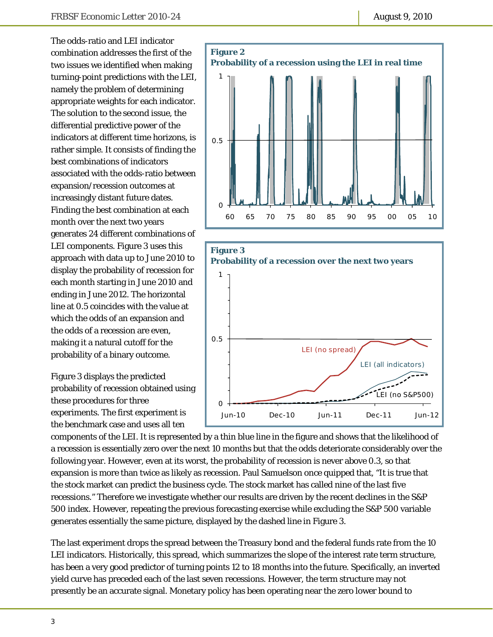The odds-ratio and LEI indicator combination addresses the first of the two issues we identified when making turning-point predictions with the LEI, namely the problem of determining appropriate weights for each indicator. The solution to the second issue, the differential predictive power of the indicators at different time horizons, is rather simple. It consists of finding the best combinations of indicators associated with the odds-ratio between expansion/recession outcomes at increasingly distant future dates. Finding the best combination at each month over the next two years generates 24 different combinations of LEI components. Figure 3 uses this approach with data up to June 2010 to display the probability of recession for each month starting in June 2010 and ending in June 2012. The horizontal line at 0.5 coincides with the value at which the odds of an expansion and the odds of a recession are even, making it a natural cutoff for the probability of a binary outcome.

Figure 3 displays the predicted probability of recession obtained using these procedures for three experiments. The first experiment is the benchmark case and uses all ten





components of the LEI. It is represented by a thin blue line in the figure and shows that the likelihood of a recession is essentially zero over the next 10 months but that the odds deteriorate considerably over the following year. However, even at its worst, the probability of recession is never above 0.3, so that expansion is more than twice as likely as recession. Paul Samuelson once quipped that, "It is true that the stock market can predict the business cycle. The stock market has called nine of the last five recessions." Therefore we investigate whether our results are driven by the recent declines in the S&P 500 index. However, repeating the previous forecasting exercise while excluding the S&P 500 variable generates essentially the same picture, displayed by the dashed line in Figure 3.

The last experiment drops the spread between the Treasury bond and the federal funds rate from the 10 LEI indicators. Historically, this spread, which summarizes the slope of the interest rate term structure, has been a very good predictor of turning points 12 to 18 months into the future. Specifically, an inverted yield curve has preceded each of the last seven recessions. However, the term structure may not presently be an accurate signal. Monetary policy has been operating near the zero lower bound to